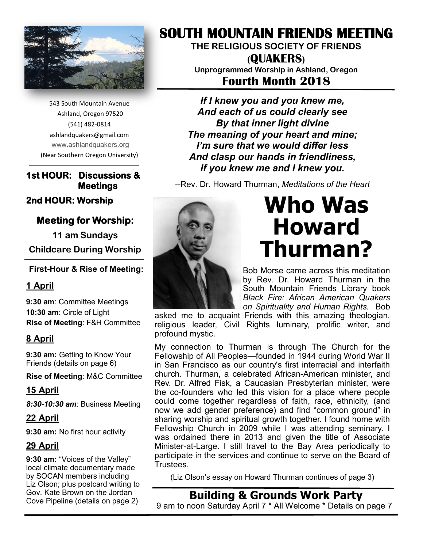

543 South Mountain Avenue Ashland, Oregon 97520 (541) 482-0814 ashlandquakers@gmail.com [www.ashlandquakers.org](http://www.smfriends.org) (Near Southern Oregon University)

#### **1st HOUR: Discussions & Meetings**

**2nd HOUR: Worship** 

### **Meeting for Worship:**

**11 am Sundays Childcare During Worship**

#### **First-Hour & Rise of Meeting:**

#### **1 April**

**9:30 am**: Committee Meetings **10:30 am**: Circle of Light **Rise of Meeting**: F&H Committee

#### **8 April**

**9:30 am:** Getting to Know Your Friends (details on page 6)

**Rise of Meeting**: M&C Committee

**15 April**

*8:30-10:30 am*: Business Meeting

#### **22 April**

**9:30 am:** No first hour activity

#### **29 April**

**9:30 am:** "Voices of the Valley" local climate documentary made by SOCAN members including Liz Olson; plus postcard writing to Gov. Kate Brown on the Jordan Cove Pipeline (details on page 2)

## **SOUTH MOUNTAIN FRIENDS MEETING**

**THE RELIGIOUS SOCIETY OF FRIENDS**

**(QUAKERS) Unprogrammed Worship in Ashland, Oregon Fourth Month 2018** 

*If I knew you and you knew me, And each of us could clearly see By that inner light divine The meaning of your heart and mine; I'm sure that we would differ less And clasp our hands in friendliness, If you knew me and I knew you.* 

*--*Rev. Dr. Howard Thurman, *Meditations of the Heart*



## **Who Was Howard Thurman?**

Bob Morse came across this meditation by Rev. Dr. Howard Thurman in the South Mountain Friends Library book *Black Fire: African American Quakers on Spirituality and Human Rights.* Bob

asked me to acquaint Friends with this amazing theologian, religious leader, Civil Rights luminary, prolific writer, and profound mystic.

My connection to Thurman is through The Church for the Fellowship of All Peoples—founded in 1944 during World War II in San Francisco as our country's first interracial and interfaith church. Thurman, a celebrated African-American minister, and Rev. Dr. Alfred Fisk, a Caucasian Presbyterian minister, were the co-founders who led this vision for a place where people could come together regardless of faith, race, ethnicity, (and now we add gender preference) and find "common ground" in sharing worship and spiritual growth together. I found home with Fellowship Church in 2009 while I was attending seminary. I was ordained there in 2013 and given the title of Associate Minister-at-Large. I still travel to the Bay Area periodically to participate in the services and continue to serve on the Board of **Trustees** 

(Liz Olson's essay on Howard Thurman continues of page 3)

#### **Building & Grounds Work Party**  9 am to noon Saturday April 7 \* All Welcome \* Details on page 7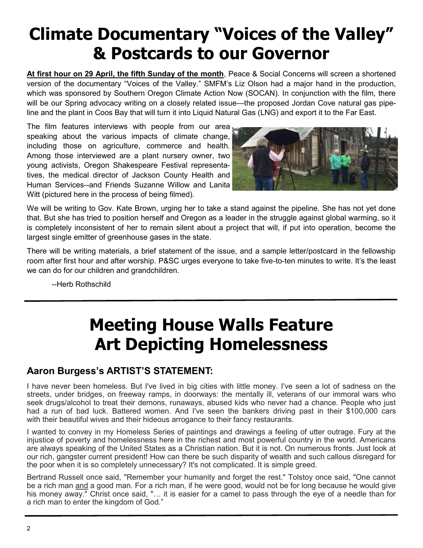## **Climate Documentary "Voices of the Valley" & Postcards to our Governor**

**At first hour on 29 April, the fifth Sunday of the month**, Peace & Social Concerns will screen a shortened version of the documentary "Voices of the Valley." SMFM's Liz Olson had a major hand in the production, which was sponsored by Southern Oregon Climate Action Now (SOCAN). In conjunction with the film, there will be our Spring advocacy writing on a closely related issue—the proposed Jordan Cove natural gas pipeline and the plant in Coos Bay that will turn it into Liquid Natural Gas (LNG) and export it to the Far East.

The film features interviews with people from our area speaking about the various impacts of climate change, including those on agriculture, commerce and health. Among those interviewed are a plant nursery owner, two young activists, Oregon Shakespeare Festival representatives, the medical director of Jackson County Health and Human Services--and Friends Suzanne Willow and Lanita Witt (pictured here in the process of being filmed).



We will be writing to Gov. Kate Brown, urging her to take a stand against the pipeline. She has not yet done that. But she has tried to position herself and Oregon as a leader in the struggle against global warming, so it is completely inconsistent of her to remain silent about a project that will, if put into operation, become the largest single emitter of greenhouse gases in the state.

There will be writing materials, a brief statement of the issue, and a sample letter/postcard in the fellowship room after first hour and after worship. P&SC urges everyone to take five-to-ten minutes to write. It's the least we can do for our children and grandchildren.

--Herb Rothschild

## **Meeting House Walls Feature Art Depicting Homelessness**

### **Aaron Burgess's ARTIST'S STATEMENT:**

I have never been homeless. But I've lived in big cities with little money. I've seen a lot of sadness on the streets, under bridges, on freeway ramps, in doorways: the mentally ill, veterans of our immoral wars who seek drugs/alcohol to treat their demons, runaways, abused kids who never had a chance. People who just had a run of bad luck. Battered women. And I've seen the bankers driving past in their \$100,000 cars with their beautiful wives and their hideous arrogance to their fancy restaurants.

I wanted to convey in my Homeless Series of paintings and drawings a feeling of utter outrage. Fury at the injustice of poverty and homelessness here in the richest and most powerful country in the world. Americans are always speaking of the United States as a Christian nation. But it is not. On numerous fronts. Just look at our rich, gangster current president! How can there be such disparity of wealth and such callous disregard for the poor when it is so completely unnecessary? It's not complicated. It is simple greed.

Bertrand Russell once said, "Remember your humanity and forget the rest." Tolstoy once said, "One cannot be a rich man and a good man. For a rich man, if he were good, would not be for long because he would give his money away." Christ once said, "… it is easier for a camel to pass through the eye of a needle than for a rich man to enter the kingdom of God."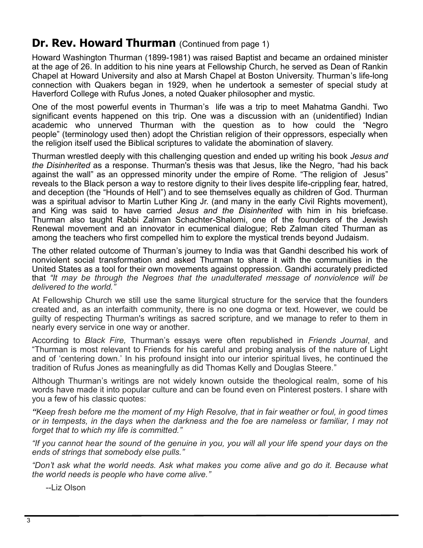## **Dr. Rev. Howard Thurman** (Continued from page 1)

Howard Washington Thurman (1899-1981) was raised Baptist and became an ordained minister at the age of 26. In addition to his nine years at Fellowship Church, he served as Dean of Rankin Chapel at Howard University and also at Marsh Chapel at Boston University. Thurman's life-long connection with Quakers began in 1929, when he undertook a semester of special study at Haverford College with Rufus Jones, a noted Quaker philosopher and mystic.

One of the most powerful events in Thurman's life was a trip to meet Mahatma Gandhi. Two significant events happened on this trip. One was a discussion with an (unidentified) Indian academic who unnerved Thurman with the question as to how could the "Negro people" (terminology used then) adopt the Christian religion of their oppressors, especially when the religion itself used the Biblical scriptures to validate the abomination of slavery.

Thurman wrestled deeply with this challenging question and ended up writing his book *Jesus and the Disinherited* as a response. Thurman's thesis was that Jesus, like the Negro, "had his back against the wall" as an oppressed minority under the empire of Rome. "The religion of Jesus" reveals to the Black person a way to restore dignity to their lives despite life-crippling fear, hatred, and deception (the "Hounds of Hell") and to see themselves equally as children of God. Thurman was a spiritual advisor to Martin Luther King Jr. (and many in the early Civil Rights movement), and King was said to have carried *Jesus and the Disinherited* with him in his briefcase. Thurman also taught Rabbi Zalman Schachter-Shalomi, one of the founders of the Jewish Renewal movement and an innovator in ecumenical dialogue; Reb Zalman cited Thurman as among the teachers who first compelled him to explore the mystical trends beyond Judaism.

The other related outcome of Thurman's journey to India was that Gandhi described his work of nonviolent social transformation and asked Thurman to share it with the communities in the United States as a tool for their own movements against oppression. Gandhi accurately predicted that *"It may be through the Negroes that the unadulterated message of nonviolence will be delivered to the world."* 

At Fellowship Church we still use the same liturgical structure for the service that the founders created and, as an interfaith community, there is no one dogma or text. However, we could be guilty of respecting Thurman's writings as sacred scripture, and we manage to refer to them in nearly every service in one way or another.

According to *Black Fire,* Thurman's essays were often republished in *Friends Journal*, and "Thurman is most relevant to Friends for his careful and probing analysis of the nature of Light and of 'centering down.' In his profound insight into our interior spiritual lives, he continued the tradition of Rufus Jones as meaningfully as did Thomas Kelly and Douglas Steere."

Although Thurman's writings are not widely known outside the theological realm, some of his words have made it into popular culture and can be found even on Pinterest posters. I share with you a few of his classic quotes:

*"Keep fresh before me the moment of my High Resolve, that in fair weather or foul, in good times or in tempests, in the days when the darkness and the foe are nameless or familiar, I may not forget that to which my life is committed."*

*"If you cannot hear the sound of the genuine in you, you will all your life spend your days on the ends of strings that somebody else pulls."*

*"Don't ask what the world needs. Ask what makes you come alive and go do it. Because what the world needs is people who have come alive."*

--Liz Olson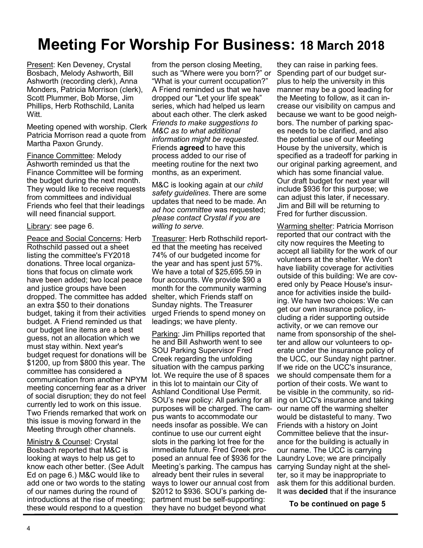## **Meeting For Worship For Business: 18 March 2018**

Present: Ken Deveney, Crystal Bosbach, Melody Ashworth, Bill Ashworth (recording clerk), Anna Monders, Patricia Morrison (clerk), Scott Plummer, Bob Morse, Jim Phillips, Herb Rothschild, Lanita Witt.

Meeting opened with worship. Clerk Patricia Morrison read a quote from Martha Paxon Grundy.

Finance Committee: Melody Ashworth reminded us that the Finance Committee will be forming the budget during the next month. They would like to receive requests from committees and individual Friends who feel that their leadings will need financial support.

Library: see page 6.

Peace and Social Concerns: Herb Rothschild passed out a sheet listing the committee's FY2018 donations. Three local organizations that focus on climate work have been added; two local peace and justice groups have been dropped. The committee has added an extra \$50 to their donations budget, taking it from their activities budget. A Friend reminded us that our budget line items are a best guess, not an allocation which we must stay within. Next year's budget request for donations will be \$1200, up from \$800 this year. The committee has considered a communication from another NPYM meeting concerning fear as a driver of social disruption; they do not feel currently led to work on this issue. Two Friends remarked that work on this issue is moving forward in the Meeting through other channels.

Ministry & Counsel: Crystal Bosbach reported that M&C is looking at ways to help us get to know each other better. (See Adult Ed on page 6.) M&C would like to add one or two words to the stating of our names during the round of introductions at the rise of meeting; these would respond to a question

from the person closing Meeting, such as "Where were you born?" or "What is your current occupation?" A Friend reminded us that we have dropped our "Let your life speak" series, which had helped us learn about each other. The clerk asked *Friends to make suggestions to M&C as to what additional information might be requested.*  Friends **agreed** to have this process added to our rise of meeting routine for the next two months, as an experiment.

M&C is looking again at our *child safety guidelines*. There are some updates that need to be made. An *ad hoc committee* was requested; *please contact Crystal if you are willing to serve.*

Treasurer: Herb Rothschild reported that the meeting has received 74% of our budgeted income for the year and has spent just 57%. We have a total of \$25,695.59 in four accounts. We provide \$90 a month for the community warming shelter, which Friends staff on Sunday nights. The Treasurer urged Friends to spend money on leadings; we have plenty.

Parking: Jim Phillips reported that he and Bill Ashworth went to see SOU Parking Supervisor Fred Creek regarding the unfolding situation with the campus parking lot. We require the use of 8 spaces in this lot to maintain our City of Ashland Conditional Use Permit. SOU's new policy: All parking for all purposes will be charged. The campus wants to accommodate our needs insofar as possible. We can continue to use our current eight slots in the parking lot free for the immediate future. Fred Creek proposed an annual fee of \$936 for the Meeting's parking. The campus has already bent their rules in several ways to lower our annual cost from \$2012 to \$936. SOU's parking department must be self-supporting: they have no budget beyond what

they can raise in parking fees. Spending part of our budget surplus to help the university in this manner may be a good leading for the Meeting to follow, as it can increase our visibility on campus and because we want to be good neighbors. The number of parking spaces needs to be clarified, and also the potential use of our Meeting House by the university, which is specified as a tradeoff for parking in our original parking agreement, and which has some financial value. Our draft budget for next year will include \$936 for this purpose; we can adjust this later, if necessary. Jim and Bill will be returning to Fred for further discussion.

Warming shelter: Patricia Morrison reported that our contract with the city now requires the Meeting to accept all liability for the work of our volunteers at the shelter. We don't have liability coverage for activities outside of this building: We are covered only by Peace House's insurance for activities inside the building. We have two choices: We can get our own insurance policy, including a rider supporting outside activity, or we can remove our name from sponsorship of the shelter and allow our volunteers to operate under the insurance policy of the UCC, our Sunday night partner. If we ride on the UCC's insurance, we should compensate them for a portion of their costs. We want to be visible in the community, so riding on UCC's insurance and taking our name off the warming shelter would be distasteful to many. Two Friends with a history on Joint Committee believe that the insurance for the building is actually in our name. The UCC is carrying Laundry Love; we are principally carrying Sunday night at the shelter, so it may be inappropriate to ask them for this additional burden. It was **decided** that if the insurance

**To be continued on page 5**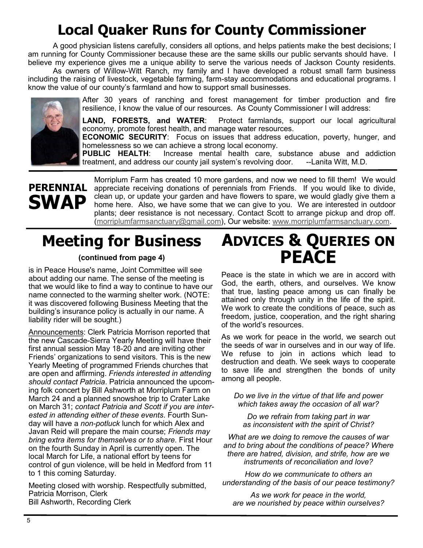## **Local Quaker Runs for County Commissioner**

A good physician listens carefully, considers all options, and helps patients make the best decisions; I am running for County Commissioner because these are the same skills our public servants should have. I believe my experience gives me a unique ability to serve the various needs of Jackson County residents.

As owners of Willow-Witt Ranch, my family and I have developed a robust small farm business including the raising of livestock, vegetable farming, farm-stay accommodations and educational programs. I know the value of our county's farmland and how to support small businesses.



After 30 years of ranching and forest management for timber production and fire resilience, I know the value of our resources. As County Commissioner I will address:

**LAND, FORESTS, and WATER**: Protect farmlands, support our local agricultural economy, promote forest health, and manage water resources.

**ECONOMIC SECURITY**: Focus on issues that address education, poverty, hunger, and homelessness so we can achieve a strong local economy.

**PUBLIC HEALTH**: Increase mental health care, substance abuse and addiction treatment, and address our county jail system's revolving door. --Lanita Witt, M.D.

## **PERENNIAL SWAP**

Morriplum Farm has created 10 more gardens, and now we need to fill them! We would appreciate receiving donations of perennials from Friends. If you would like to divide, clean up, or update your garden and have flowers to spare, we would gladly give them a home here. Also, we have some that we can give to you. We are interested in outdoor plants; deer resistance is not necessary. Contact Scott to arrange pickup and drop off. [\(morriplumfarmsanctuary@gmail.com\),](mailto:morriplumfarmsanctuary@gmail.com) Our website: [www.morriplumfarmsanctuary.com.](http://www.morriplumfarmsanctuary.com/)

## **Meeting for Business**

#### **(continued from page 4)**

is in Peace House's name, Joint Committee will see about adding our name. The sense of the meeting is that we would like to find a way to continue to have our name connected to the warming shelter work. (NOTE: it was discovered following Business Meeting that the building's insurance policy is actually in our name. A liability rider will be sought.)

Announcements: Clerk Patricia Morrison reported that the new Cascade-Sierra Yearly Meeting will have their first annual session May 18-20 and are inviting other Friends' organizations to send visitors. This is the new Yearly Meeting of programmed Friends churches that are open and affirming. *Friends interested in attending should contact Patricia*. Patricia announced the upcoming folk concert by Bill Ashworth at Morriplum Farm on March 24 and a planned snowshoe trip to Crater Lake on March 31; *contact Patricia and Scott if you are interested in attending either of these events*. Fourth Sunday will have a *non-potluck* lunch for which Alex and Javan Reid will prepare the main course; *Friends may bring extra items for themselves or to share*. First Hour on the fourth Sunday in April is currently open. The local March for Life, a national effort by teens for control of gun violence, will be held in Medford from 11 to 1 this coming Saturday.

Meeting closed with worship. Respectfully submitted, Patricia Morrison, Clerk Bill Ashworth, Recording Clerk

## **ADVICES & QUERIES ON PEACE**

Peace is the state in which we are in accord with God, the earth, others, and ourselves. We know that true, lasting peace among us can finally be attained only through unity in the life of the spirit. We work to create the conditions of peace, such as freedom, justice, cooperation, and the right sharing of the world's resources.

As we work for peace in the world, we search out the seeds of war in ourselves and in our way of life. We refuse to join in actions which lead to destruction and death. We seek ways to cooperate to save life and strengthen the bonds of unity among all people.

*Do we live in the virtue of that life and power which takes away the occasion of all war?*

*Do we refrain from taking part in war as inconsistent with the spirit of Christ?*

*What are we doing to remove the causes of war and to bring about the conditions of peace? Where there are hatred, division, and strife, how are we instruments of reconciliation and love?*

*How do we communicate to others an understanding of the basis of our peace testimony?*

*As we work for peace in the world, are we nourished by peace within ourselves?*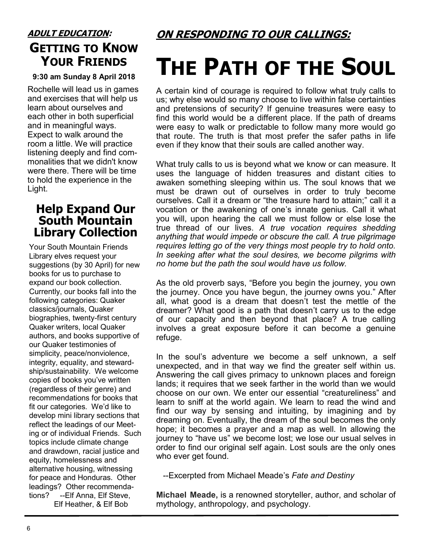## **ADULT EDUCATION: GETTING TO KNOW YOUR FRIENDS**

#### **9:30 am Sunday 8 April 2018**

Rochelle will lead us in games and exercises that will help us learn about ourselves and each other in both superficial and in meaningful ways. Expect to walk around the room a little. We will practice listening deeply and find commonalities that we didn't know were there. There will be time to hold the experience in the Light.

### **Help Expand Our South Mountain Library Collection**

Your South Mountain Friends Library elves request your suggestions (by 30 April) for new books for us to purchase to expand our book collection. Currently, our books fall into the following categories: Quaker classics/journals, Quaker biographies, twenty-first century Quaker writers, local Quaker authors, and books supportive of our Quaker testimonies of simplicity, peace/nonviolence, integrity, equality, and stewardship/sustainability. We welcome copies of books you've written (regardless of their genre) and recommendations for books that fit our categories. We'd like to develop mini library sections that reflect the leadings of our Meeting or of individual Friends. Such topics include climate change and drawdown, racial justice and equity, homelessness and alternative housing, witnessing for peace and Honduras. Other leadings? Other recommendations? --Elf Anna, Elf Steve, Elf Heather, & Elf Bob

**ON RESPONDING TO OUR CALLINGS:**

## **THE PATH OF THE SOUL**

A certain kind of courage is required to follow what truly calls to us; why else would so many choose to live within false certainties and pretensions of security? If genuine treasures were easy to find this world would be a different place. If the path of dreams were easy to walk or predictable to follow many more would go that route. The truth is that most prefer the safer paths in life even if they know that their souls are called another way.

What truly calls to us is beyond what we know or can measure. It uses the language of hidden treasures and distant cities to awaken something sleeping within us. The soul knows that we must be drawn out of ourselves in order to truly become ourselves. Call it a dream or "the treasure hard to attain;" call it a vocation or the awakening of one's innate genius. Call it what you will, upon hearing the call we must follow or else lose the true thread of our lives. *A true vocation requires shedding anything that would impede or obscure the call. A true pilgrimage requires letting go of the very things most people try to hold onto. In seeking after what the soul desires, we become pilgrims with no home but the path the soul would have us follow.*

As the old proverb says, "Before you begin the journey, you own the journey. Once you have begun, the journey owns you." After all, what good is a dream that doesn't test the mettle of the dreamer? What good is a path that doesn't carry us to the edge of our capacity and then beyond that place? A true calling involves a great exposure before it can become a genuine refuge.

In the soul's adventure we become a self unknown, a self unexpected, and in that way we find the greater self within us. Answering the call gives primacy to unknown places and foreign lands; it requires that we seek farther in the world than we would choose on our own. We enter our essential "creatureliness" and learn to sniff at the world again. We learn to read the wind and find our way by sensing and intuiting, by imagining and by dreaming on. Eventually, the dream of the soul becomes the only hope; it becomes a prayer and a map as well. In allowing the journey to "have us" we become lost; we lose our usual selves in order to find our original self again. Lost souls are the only ones who ever get found.

--Excerpted from Michael Meade's *Fate and Destiny* 

**Michael Meade,** is a renowned storyteller, author, and scholar of mythology, anthropology, and psychology.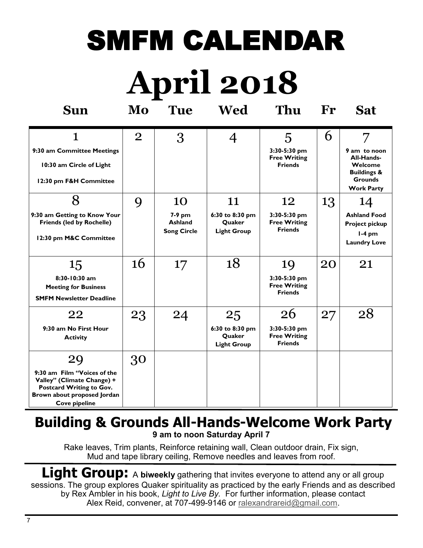## SMFM CALENDAR

# **April 2018**

| <b>Sun</b>                                                                                                                                         | Mo             | <b>Tue</b>                                           | Wed                                                   | Thu                                                         | Fr | <b>Sat</b>                                                                                                  |
|----------------------------------------------------------------------------------------------------------------------------------------------------|----------------|------------------------------------------------------|-------------------------------------------------------|-------------------------------------------------------------|----|-------------------------------------------------------------------------------------------------------------|
| 1<br>9:30 am Committee Meetings<br>10:30 am Circle of Light<br>12:30 pm F&H Committee                                                              | $\overline{2}$ | 3                                                    | $\overline{4}$                                        | 5<br>3:30-5:30 pm<br><b>Free Writing</b><br><b>Friends</b>  | 6  | 7<br>9 am to noon<br>All-Hands-<br>Welcome<br><b>Buildings &amp;</b><br><b>Grounds</b><br><b>Work Party</b> |
| 8<br>9:30 am Getting to Know Your<br><b>Friends (led by Rochelle)</b><br>12:30 pm M&C Committee                                                    | 9              | 10<br>7-9 pm<br><b>Ashland</b><br><b>Song Circle</b> | 11<br>6:30 to 8:30 pm<br>Quaker<br><b>Light Group</b> | 12<br>3:30-5:30 pm<br><b>Free Writing</b><br><b>Friends</b> | 13 | 14<br><b>Ashland Food</b><br><b>Project pickup</b><br>$l-4$ pm<br><b>Laundry Love</b>                       |
| 15<br>8:30-10:30 am<br><b>Meeting for Business</b><br><b>SMFM Newsletter Deadline</b>                                                              | 16             | 17                                                   | 18                                                    | 19<br>3:30-5:30 pm<br><b>Free Writing</b><br><b>Friends</b> | 20 | 21                                                                                                          |
| 22<br>9:30 am No First Hour<br><b>Activity</b>                                                                                                     | 23             | 24                                                   | 25<br>6:30 to 8:30 pm<br>Quaker<br><b>Light Group</b> | 26<br>3:30-5:30 pm<br><b>Free Writing</b><br><b>Friends</b> | 27 | 28                                                                                                          |
| 29<br>9:30 am Film "Voices of the<br>Valley" (Climate Change) +<br>Postcard Writing to Gov.<br>Brown about proposed Jordan<br><b>Cove pipeline</b> | 30             |                                                      |                                                       |                                                             |    |                                                                                                             |

## **Building & Grounds All-Hands-Welcome Work Party 9 am to noon Saturday April 7**

Rake leaves, Trim plants, Reinforce retaining wall, Clean outdoor drain, Fix sign, Mud and tape library ceiling, Remove needles and leaves from roof.

Light Group: A biweekly gathering that invites everyone to attend any or all group sessions. The group explores Quaker spirituality as practiced by the early Friends and as described by Rex Ambler in his book, *Light to Live By.* For further information, please contact Alex Reid, convener, at 707-499-9146 or [ralexandrareid@gmail.com.](mailto:ralexandrareid@gmail.com)